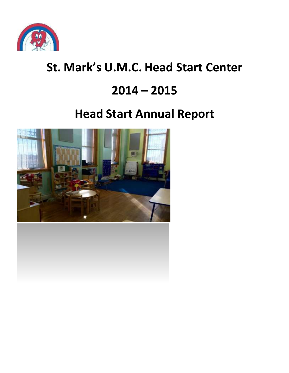

# **St. Mark's U.M.C. Head Start Center**

# **2014 – 2015**

# **Head Start Annual Report**

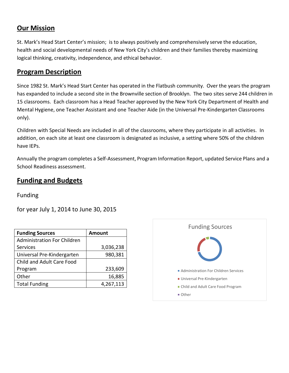#### **Our Mission**

St. Mark's Head Start Center's mission; is to always positively and comprehensively serve the education, health and social developmental needs of New York City's children and their families thereby maximizing logical thinking, creativity, independence, and ethical behavior.

#### **Program Description**

Since 1982 St. Mark's Head Start Center has operated in the Flatbush community. Over the years the program has expanded to include a second site in the Brownville section of Brooklyn. The two sites serve 244 children in 15 classrooms. Each classroom has a Head Teacher approved by the New York City Department of Health and Mental Hygiene, one Teacher Assistant and one Teacher Aide (in the Universal Pre-Kindergarten Classrooms only).

Children with Special Needs are included in all of the classrooms, where they participate in all activities. In addition, on each site at least one classroom is designated as inclusive, a setting where 50% of the children have IEPs.

Annually the program completes a Self-Assessment, Program Information Report, updated Service Plans and a School Readiness assessment.

### **Funding and Budgets**

Funding

for year July 1, 2014 to June 30, 2015

| <b>Funding Sources</b>             | <b>Amount</b> |  |  |  |
|------------------------------------|---------------|--|--|--|
| <b>Administration For Children</b> |               |  |  |  |
| Services                           | 3,036,238     |  |  |  |
| Universal Pre-Kindergarten         | 980,381       |  |  |  |
| Child and Adult Care Food          |               |  |  |  |
| Program                            | 233,609       |  |  |  |
| Other                              | 16,885        |  |  |  |
| <b>Total Funding</b>               | 4,267,113     |  |  |  |

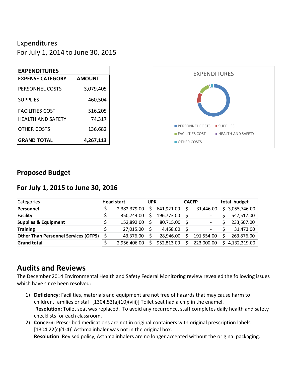## Expenditures

For July 1, 2014 to June 30, 2015

| <b>EXPENDITURES</b>      |               |
|--------------------------|---------------|
| <b>EXPENSE CATEGORY</b>  | <b>AMOUNT</b> |
| PERSONNEL COSTS          | 3,079,405     |
| <b>SUPPLIES</b>          | 460,504       |
| <b>FACILITIES COST</b>   | 516,205       |
| <b>HEALTH AND SAFFTY</b> | 74,317        |
| OTHER COSTS              | 136,682       |
| <b>GRAND TOTAL</b>       | 4,267,113     |



### **Proposed Budget**

### **For July 1, 2015 to June 30, 2016**

| Categories                                  | <b>Head start</b> |              | <b>UPK</b> |            | <b>CACFP</b> |                          | total budget |              |
|---------------------------------------------|-------------------|--------------|------------|------------|--------------|--------------------------|--------------|--------------|
| Personnel                                   |                   | 2,382,379.00 | Ś          | 641,921.00 |              | 31,446.00                | S.           | 3,055,746.00 |
| <b>Facility</b>                             |                   | 350,744.00   |            | 196,773.00 |              | $\overline{\phantom{0}}$ |              | 547,517.00   |
| <b>Supplies &amp; Equipment</b>             |                   | 152,892.00   |            | 80,715.00  | ၭ            |                          |              | 233,607.00   |
| <b>Training</b>                             |                   | 27,015.00    |            | 4,458.00   |              | -                        |              | 31,473.00    |
| <b>Other Than Personnel Services (OTPS)</b> |                   | 43,376.00    |            | 28,946.00  |              | 191,554.00               |              | 263,876.00   |
| <b>Grand total</b>                          |                   | 2,956,406.00 |            | 952,813.00 |              | 223,000.00               | Ś            | 4,132,219.00 |

# **Audits and Reviews**

The December 2014 Environmental Health and Safety Federal Monitoring review revealed the following issues which have since been resolved:

- 1) **Deficiency**: Facilities, materials and equipment are not free of hazards that may cause harm to children, families or staff [1304.53(a)(10)(viii)] Toilet seat had a chip in the enamel. **Resolution**: Toilet seat was replaced. To avoid any recurrence, staff completes daily health and safety checklists for each classroom.
- 2) **Concern**: Prescribed medications are not in original containers with original prescription labels. [1304.22(c)(1-4)] Asthma inhaler was not in the original box. **Resolution**: Revised policy, Asthma inhalers are no longer accepted without the original packaging.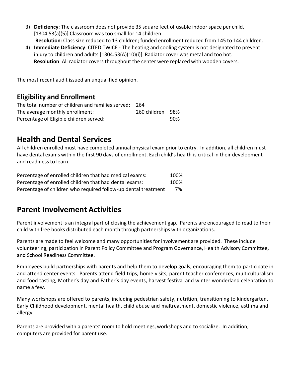- 3) **Deficiency**: The classroom does not provide 35 square feet of usable indoor space per child. [1304.53(a)(5)] Classroom was too small for 14 children. **Resolution**: Class size reduced to 13 children; funded enrollment reduced from 145 to 144 children.
- 4) **Immediate Deficiency**: CITED TWICE The heating and cooling system is not designated to prevent injury to children and adults [1304.53(A)(10)(i)] Radiator cover was metal and too hot. **Resolution**: All radiator covers throughout the center were replaced with wooden covers.

The most recent audit issued an unqualified opinion.

## **Eligibility and Enrollment**

| The total number of children and families served: 264 |                  |     |
|-------------------------------------------------------|------------------|-----|
| The average monthly enrollment:                       | 260 children 98% |     |
| Percentage of Eligible children served:               |                  | 90% |

## **Health and Dental Services**

All children enrolled must have completed annual physical exam prior to entry. In addition, all children must have dental exams within the first 90 days of enrollment. Each child's health is critical in their development and readiness to learn.

| Percentage of enrolled children that had medical exams:        | 100% |
|----------------------------------------------------------------|------|
| Percentage of enrolled children that had dental exams:         | 100% |
| Percentage of children who required follow-up dental treatment | 7%   |

# **Parent Involvement Activities**

Parent involvement is an integral part of closing the achievement gap. Parents are encouraged to read to their child with free books distributed each month through partnerships with organizations.

Parents are made to feel welcome and many opportunities for involvement are provided. These include volunteering, participation in Parent Policy Committee and Program Governance, Health Advisory Committee, and School Readiness Committee.

Employees build partnerships with parents and help them to develop goals, encouraging them to participate in and attend center events. Parents attend field trips, home visits, parent teacher conferences, multiculturalism and food tasting, Mother's day and Father's day events, harvest festival and winter wonderland celebration to name a few.

Many workshops are offered to parents, including pedestrian safety, nutrition, transitioning to kindergarten, Early Childhood development, mental health, child abuse and maltreatment, domestic violence, asthma and allergy.

Parents are provided with a parents' room to hold meetings, workshops and to socialize. In addition, computers are provided for parent use.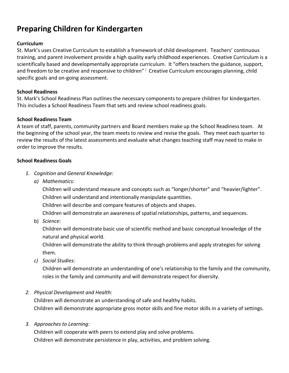# **Preparing Children for Kindergarten**

#### **Curriculum**

St. Mark's uses Creative Curriculum to establish a framework of child development. Teachers' continuous training, and parent involvement provide a high quality early childhood experiences. Creative Curriculum is a scientifically based and developmentally appropriate curriculum. It "offers teachers the guidance, support, and freedom to be creative and responsive to children" Creative Curriculum encourages planning, child specific goals and on-going assessment.

#### **School Readiness**

St. Mark's School Readiness Plan outlines the necessary components to prepare children for kindergarten. This includes a School Readiness Team that sets and review school readiness goals.

#### **School Readiness Team**

A team of staff, parents, community partners and Board members make up the School Readinessteam. At the beginning of the school year, the team meetsto review and revise the goals. They meet each quarter to review the results of the latest assessments and evaluate what changes teaching staff may need to make in order to improve the results.

#### **School Readiness Goals**

- *1. Cognition and General Knowledge:*
	- *a) Mathematics:*

Children will understand measure and concepts such as "longer/shorter" and "heavier/lighter". Children will understand and intentionally manipulate quantities.

Children will describe and compare features of objects and shapes.

Children will demonstrate an awareness of spatial relationships, patterns, and sequences.

b) *Science*:

Children will demonstrate basic use of scientific method and basic conceptual knowledge of the natural and physical world.

Children will demonstrate the ability to think through problems and apply strategiesfor solving them.

*c) Social Studies:*

Children will demonstrate an understanding of one's relationship to the family and the community, roles in the family and community and will demonstrate respect for diversity.

*2. Physical Development and Health:*

Children will demonstrate an understanding of safe and healthy habits. Children will demonstrate appropriate gross motor skills and fine motor skills in a variety of settings.

*3. Approaches to Learning:*

Children will cooperate with peers to extend play and solve problems. Children will demonstrate persistence in play, activities, and problem solving.